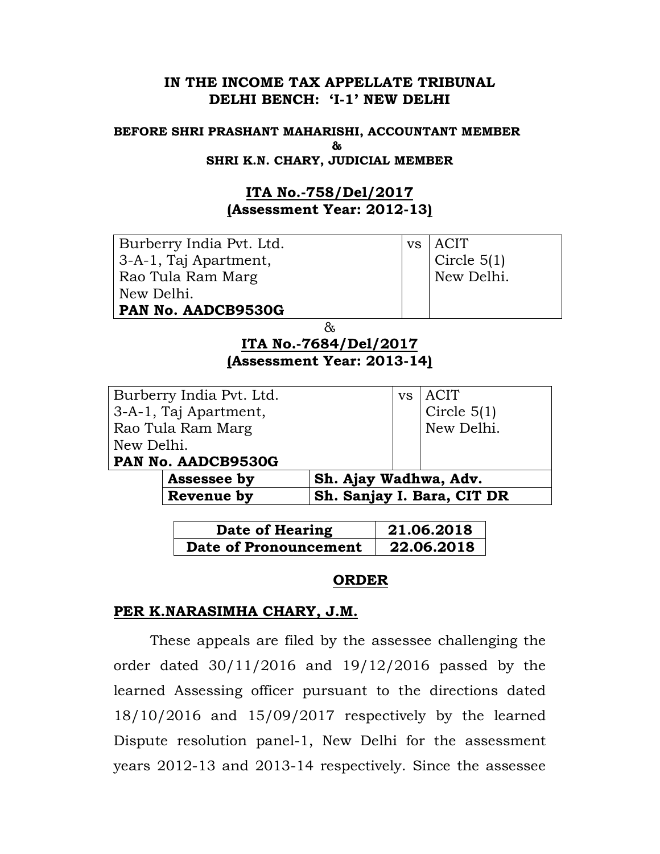## IN THE INCOME TAX APPELLATE TRIBUNAL DELHI BENCH: 'I-1' NEW DELHI

### BEFORE SHRI PRASHANT MAHARISHI, ACCOUNTANT MEMBER and a state of the state of the state of the state of the state of the state of the state of the state of the s SHRI K.N. CHARY, JUDICIAL MEMBER

# ITA No.-758/Del/2017 (Assessment Year: 2012-13)

| Burberry India Pvt. Ltd.   | <b>VS</b> | <b>ACIT</b>   |  |  |
|----------------------------|-----------|---------------|--|--|
| 3-A-1, Taj Apartment,      |           | Circle $5(1)$ |  |  |
| Rao Tula Ram Marg          |           | New Delhi.    |  |  |
| New Delhi.                 |           |               |  |  |
| PAN No. AADCB9530G         |           |               |  |  |
| &                          |           |               |  |  |
| ITA No.-7684/Del/2017      |           |               |  |  |
| (Assessment Year: 2013-14) |           |               |  |  |
|                            |           |               |  |  |
| Burberry India Pvt. Ltd.   | <b>VS</b> | <b>ACIT</b>   |  |  |
| 3-A-1, Taj Apartment,      |           | Circle $5(1)$ |  |  |
| Rao Tula Ram Marg          |           | New Delhi.    |  |  |
| New Delhi.                 |           |               |  |  |

### PAN No. AADCB9530G

| Assessee by | <b>Sh. Ajay Wadhwa, Adv.</b> |                            |
|-------------|------------------------------|----------------------------|
| Revenue by  |                              | Sh. Sanjay I. Bara, CIT DR |
|             |                              |                            |

| Date of Hearing       | 21.06.2018 |
|-----------------------|------------|
| Date of Pronouncement | 22.06.2018 |

# ORDER

## PER K.NARASIMHA CHARY, J.M.

These appeals are filed by the assessee challenging the order dated 30/11/2016 and 19/12/2016 passed by the learned Assessing officer pursuant to the directions dated 18/10/2016 and 15/09/2017 respectively by the learned Dispute resolution panel-1, New Delhi for the assessment years 2012-13 and 2013-14 respectively. Since the assessee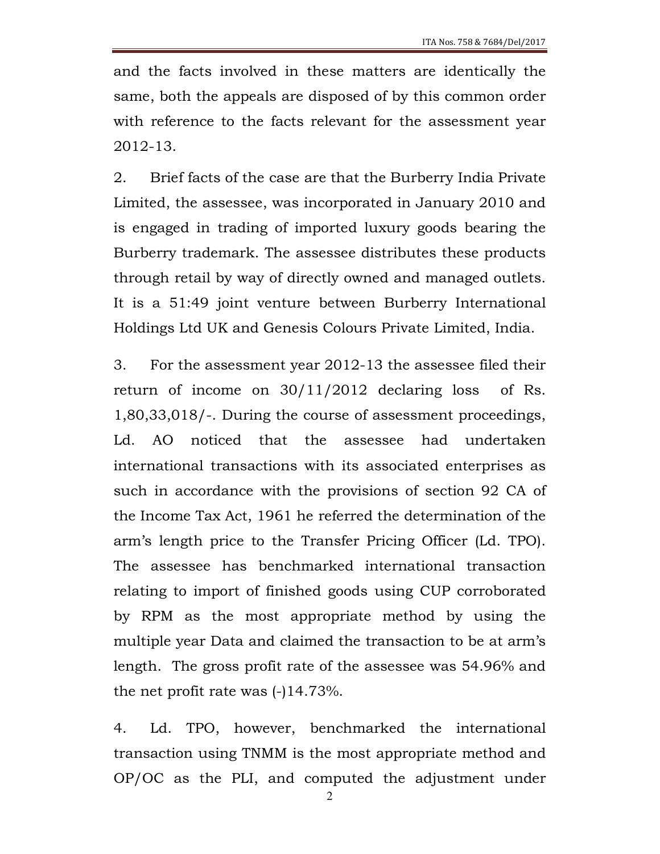and the facts involved in these matters are identically the same, both the appeals are disposed of by this common order with reference to the facts relevant for the assessment year 2012-13.

2. Brief facts of the case are that the Burberry India Private Limited, the assessee, was incorporated in January 2010 and is engaged in trading of imported luxury goods bearing the Burberry trademark. The assessee distributes these products through retail by way of directly owned and managed outlets. It is a 51:49 joint venture between Burberry International Holdings Ltd UK and Genesis Colours Private Limited, India.

3. For the assessment year 2012-13 the assessee filed their return of income on 30/11/2012 declaring loss of Rs. 1,80,33,018/-. During the course of assessment proceedings, Ld. AO noticed that the assessee had undertaken international transactions with its associated enterprises as such in accordance with the provisions of section 92 CA of the Income Tax Act, 1961 he referred the determination of the arm's length price to the Transfer Pricing Officer (Ld. TPO). The assessee has benchmarked international transaction relating to import of finished goods using CUP corroborated by RPM as the most appropriate method by using the multiple year Data and claimed the transaction to be at arm's length. The gross profit rate of the assessee was 54.96% and the net profit rate was (-)14.73%.

4. Ld. TPO, however, benchmarked the international transaction using TNMM is the most appropriate method and OP/OC as the PLI, and computed the adjustment under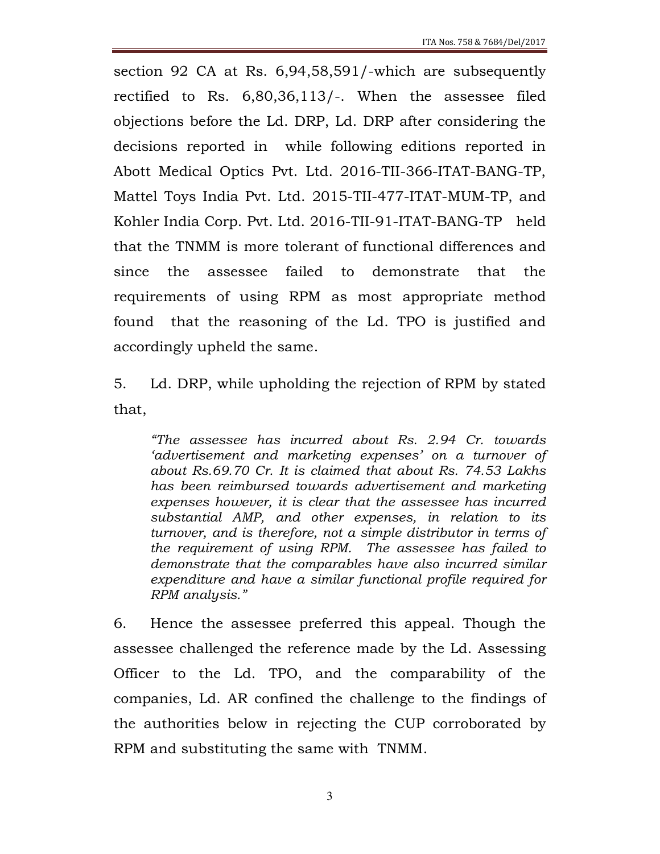section 92 CA at Rs. 6,94,58,591/-which are subsequently rectified to Rs. 6,80,36,113/-. When the assessee filed objections before the Ld. DRP, Ld. DRP after considering the decisions reported in while following editions reported in Abott Medical Optics Pvt. Ltd. 2016-TII-366-ITAT-BANG-TP, Mattel Toys India Pvt. Ltd. 2015-TII-477-ITAT-MUM-TP, and Kohler India Corp. Pvt. Ltd. 2016-TII-91-ITAT-BANG-TP held that the TNMM is more tolerant of functional differences and since the assessee failed to demonstrate that the requirements of using RPM as most appropriate method found that the reasoning of the Ld. TPO is justified and accordingly upheld the same.

5. Ld. DRP, while upholding the rejection of RPM by stated that,

"The assessee has incurred about Rs. 2.94 Cr. towards 'advertisement and marketing expenses' on a turnover of about Rs.69.70 Cr. It is claimed that about Rs. 74.53 Lakhs has been reimbursed towards advertisement and marketing expenses however, it is clear that the assessee has incurred substantial AMP, and other expenses, in relation to its turnover, and is therefore, not a simple distributor in terms of the requirement of using RPM. The assessee has failed to demonstrate that the comparables have also incurred similar expenditure and have a similar functional profile required for RPM analysis."

6. Hence the assessee preferred this appeal. Though the assessee challenged the reference made by the Ld. Assessing Officer to the Ld. TPO, and the comparability of the companies, Ld. AR confined the challenge to the findings of the authorities below in rejecting the CUP corroborated by RPM and substituting the same with TNMM.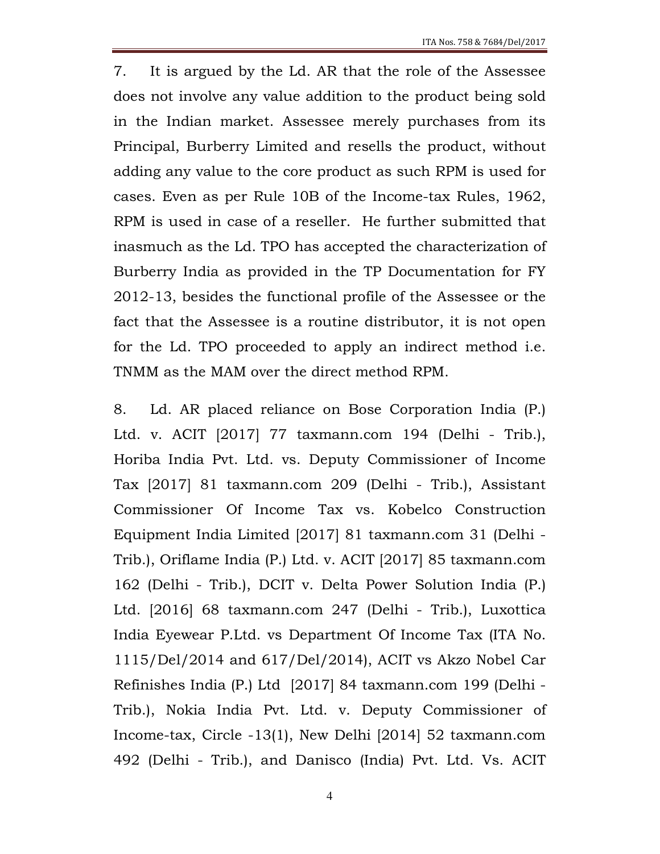7. It is argued by the Ld. AR that the role of the Assessee does not involve any value addition to the product being sold in the Indian market. Assessee merely purchases from its Principal, Burberry Limited and resells the product, without adding any value to the core product as such RPM is used for cases. Even as per Rule 10B of the Income-tax Rules, 1962, RPM is used in case of a reseller. He further submitted that inasmuch as the Ld. TPO has accepted the characterization of Burberry India as provided in the TP Documentation for FY 2012-13, besides the functional profile of the Assessee or the fact that the Assessee is a routine distributor, it is not open for the Ld. TPO proceeded to apply an indirect method i.e. TNMM as the MAM over the direct method RPM.

8. Ld. AR placed reliance on Bose Corporation India (P.) Ltd. v. ACIT [2017] 77 taxmann.com 194 (Delhi - Trib.), Horiba India Pvt. Ltd. vs. Deputy Commissioner of Income Tax [2017] 81 taxmann.com 209 (Delhi - Trib.), Assistant Commissioner Of Income Tax vs. Kobelco Construction Equipment India Limited [2017] 81 taxmann.com 31 (Delhi - Trib.), Oriflame India (P.) Ltd. v. ACIT [2017] 85 taxmann.com 162 (Delhi - Trib.), DCIT v. Delta Power Solution India (P.) Ltd. [2016] 68 taxmann.com 247 (Delhi - Trib.), Luxottica India Eyewear P.Ltd. vs Department Of Income Tax (ITA No. 1115/Del/2014 and 617/Del/2014), ACIT vs Akzo Nobel Car Refinishes India (P.) Ltd [2017] 84 taxmann.com 199 (Delhi - Trib.), Nokia India Pvt. Ltd. v. Deputy Commissioner of Income-tax, Circle -13(1), New Delhi [2014] 52 taxmann.com 492 (Delhi - Trib.), and Danisco (India) Pvt. Ltd. Vs. ACIT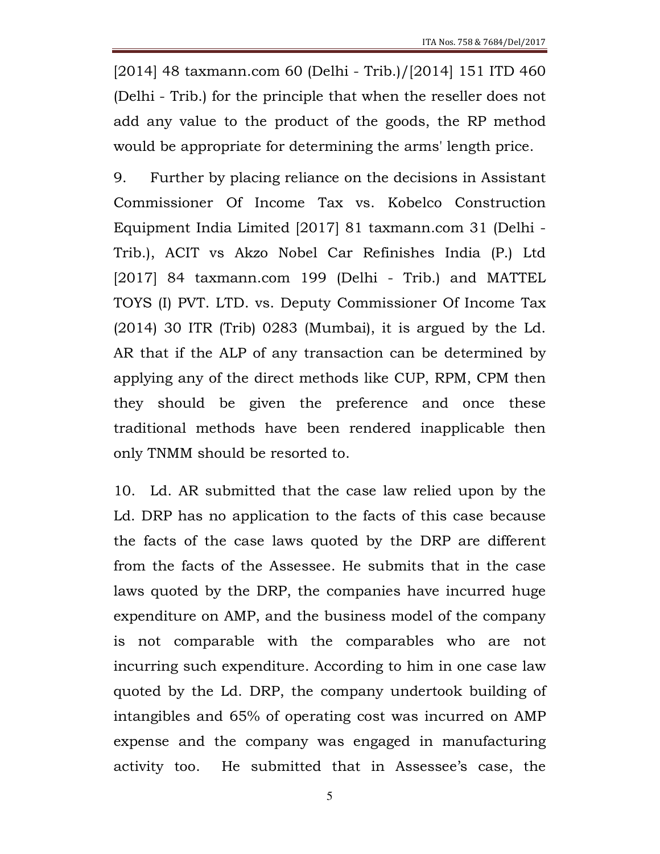[2014] 48 taxmann.com 60 (Delhi - Trib.)/[2014] 151 ITD 460 (Delhi - Trib.) for the principle that when the reseller does not add any value to the product of the goods, the RP method would be appropriate for determining the arms' length price.

9. Further by placing reliance on the decisions in Assistant Commissioner Of Income Tax vs. Kobelco Construction Equipment India Limited [2017] 81 taxmann.com 31 (Delhi - Trib.), ACIT vs Akzo Nobel Car Refinishes India (P.) Ltd [2017] 84 taxmann.com 199 (Delhi - Trib.) and MATTEL TOYS (I) PVT. LTD. vs. Deputy Commissioner Of Income Tax (2014) 30 ITR (Trib) 0283 (Mumbai), it is argued by the Ld. AR that if the ALP of any transaction can be determined by applying any of the direct methods like CUP, RPM, CPM then they should be given the preference and once these traditional methods have been rendered inapplicable then only TNMM should be resorted to.

10. Ld. AR submitted that the case law relied upon by the Ld. DRP has no application to the facts of this case because the facts of the case laws quoted by the DRP are different from the facts of the Assessee. He submits that in the case laws quoted by the DRP, the companies have incurred huge expenditure on AMP, and the business model of the company is not comparable with the comparables who are not incurring such expenditure. According to him in one case law quoted by the Ld. DRP, the company undertook building of intangibles and 65% of operating cost was incurred on AMP expense and the company was engaged in manufacturing activity too. He submitted that in Assessee's case, the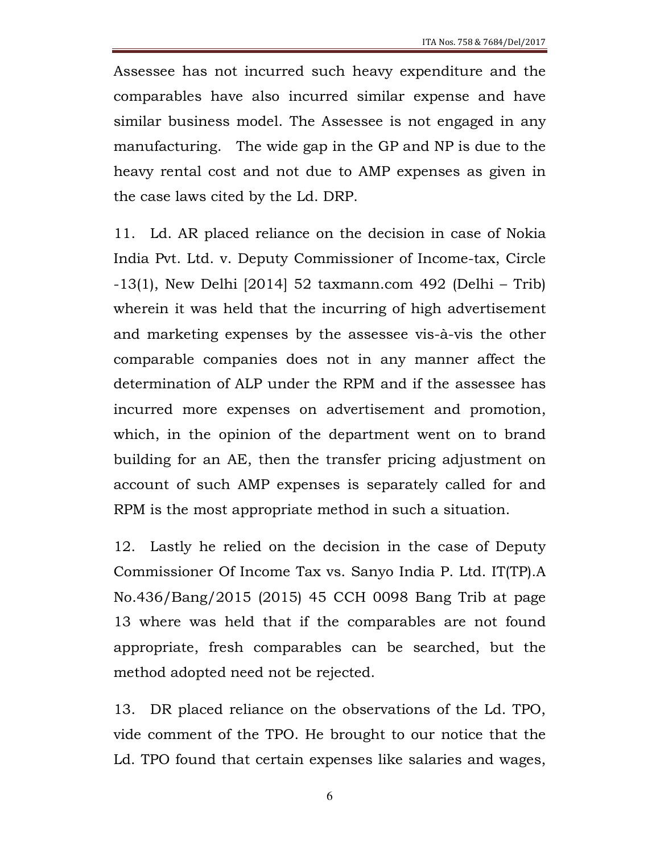Assessee has not incurred such heavy expenditure and the comparables have also incurred similar expense and have similar business model. The Assessee is not engaged in any manufacturing. The wide gap in the GP and NP is due to the heavy rental cost and not due to AMP expenses as given in the case laws cited by the Ld. DRP.

11. Ld. AR placed reliance on the decision in case of Nokia India Pvt. Ltd. v. Deputy Commissioner of Income-tax, Circle -13(1), New Delhi [2014] 52 taxmann.com 492 (Delhi – Trib) wherein it was held that the incurring of high advertisement and marketing expenses by the assessee vis-à-vis the other comparable companies does not in any manner affect the determination of ALP under the RPM and if the assessee has incurred more expenses on advertisement and promotion, which, in the opinion of the department went on to brand building for an AE, then the transfer pricing adjustment on account of such AMP expenses is separately called for and RPM is the most appropriate method in such a situation.

12. Lastly he relied on the decision in the case of Deputy Commissioner Of Income Tax vs. Sanyo India P. Ltd. IT(TP).A No.436/Bang/2015 (2015) 45 CCH 0098 Bang Trib at page 13 where was held that if the comparables are not found appropriate, fresh comparables can be searched, but the method adopted need not be rejected.

13. DR placed reliance on the observations of the Ld. TPO, vide comment of the TPO. He brought to our notice that the Ld. TPO found that certain expenses like salaries and wages,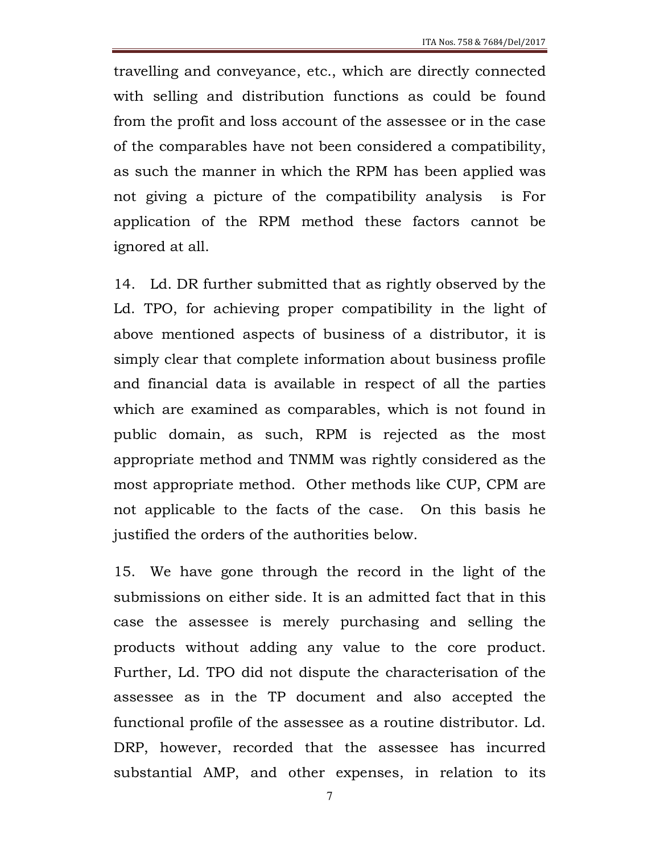travelling and conveyance, etc., which are directly connected with selling and distribution functions as could be found from the profit and loss account of the assessee or in the case of the comparables have not been considered a compatibility, as such the manner in which the RPM has been applied was not giving a picture of the compatibility analysis is For application of the RPM method these factors cannot be ignored at all.

14. Ld. DR further submitted that as rightly observed by the Ld. TPO, for achieving proper compatibility in the light of above mentioned aspects of business of a distributor, it is simply clear that complete information about business profile and financial data is available in respect of all the parties which are examined as comparables, which is not found in public domain, as such, RPM is rejected as the most appropriate method and TNMM was rightly considered as the most appropriate method. Other methods like CUP, CPM are not applicable to the facts of the case. On this basis he justified the orders of the authorities below.

15. We have gone through the record in the light of the submissions on either side. It is an admitted fact that in this case the assessee is merely purchasing and selling the products without adding any value to the core product. Further, Ld. TPO did not dispute the characterisation of the assessee as in the TP document and also accepted the functional profile of the assessee as a routine distributor. Ld. DRP, however, recorded that the assessee has incurred substantial AMP, and other expenses, in relation to its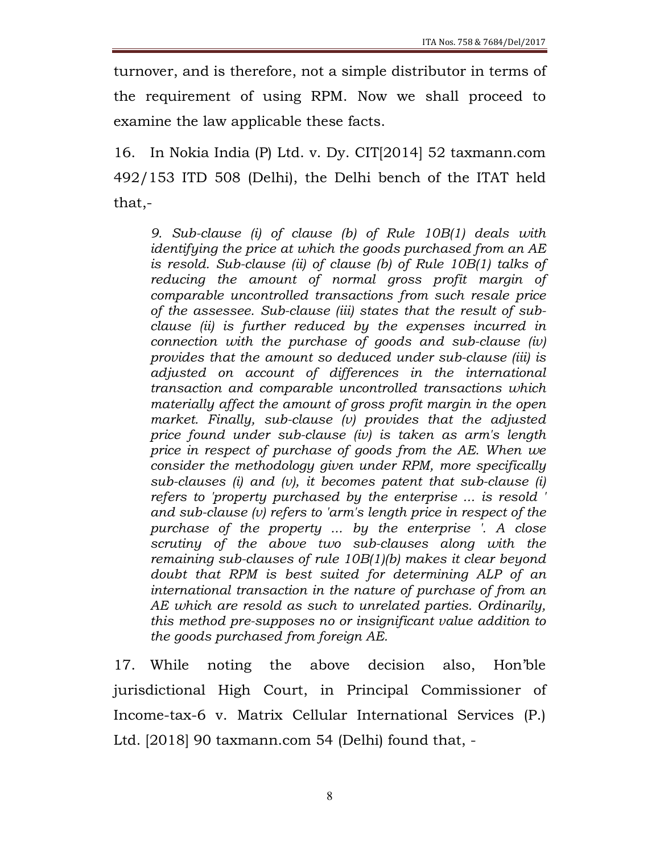turnover, and is therefore, not a simple distributor in terms of the requirement of using RPM. Now we shall proceed to examine the law applicable these facts.

16. In Nokia India (P) Ltd. v. Dy. CIT[2014] 52 taxmann.com 492/153 ITD 508 (Delhi), the Delhi bench of the ITAT held that,-

9. Sub-clause (i) of clause (b) of Rule 10B(1) deals with identifying the price at which the goods purchased from an AE is resold. Sub-clause (ii) of clause (b) of Rule 10B(1) talks of reducing the amount of normal gross profit margin of comparable uncontrolled transactions from such resale price of the assessee. Sub-clause (iii) states that the result of subclause (ii) is further reduced by the expenses incurred in connection with the purchase of goods and sub-clause (iv) provides that the amount so deduced under sub-clause (iii) is adjusted on account of differences in the international transaction and comparable uncontrolled transactions which materially affect the amount of gross profit margin in the open market. Finally, sub-clause (v) provides that the adjusted price found under sub-clause (iv) is taken as arm's length price in respect of purchase of goods from the AE. When we consider the methodology given under RPM, more specifically sub-clauses (i) and (v), it becomes patent that sub-clause (i) refers to 'property purchased by the enterprise ... is resold ' and sub-clause (v) refers to 'arm's length price in respect of the purchase of the property ... by the enterprise '. A close scrutiny of the above two sub-clauses along with the remaining sub-clauses of rule 10B(1)(b) makes it clear beyond doubt that RPM is best suited for determining ALP of an international transaction in the nature of purchase of from an AE which are resold as such to unrelated parties. Ordinarily, this method pre-supposes no or insignificant value addition to the goods purchased from foreign AE.

17. While noting the above decision also, Hon'ble jurisdictional High Court, in Principal Commissioner of Income-tax-6 v. Matrix Cellular International Services (P.) Ltd. [2018] 90 taxmann.com 54 (Delhi) found that, -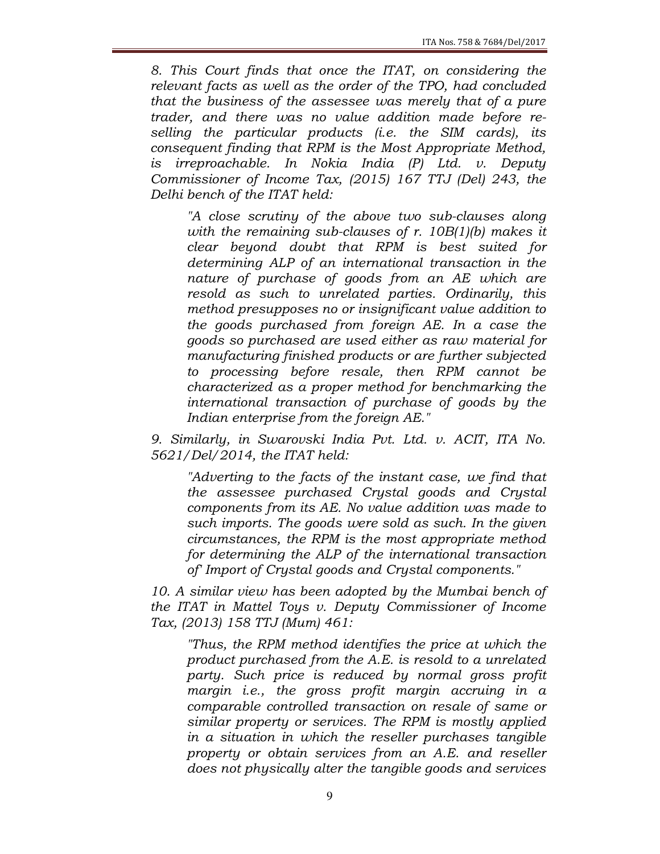8. This Court finds that once the ITAT, on considering the relevant facts as well as the order of the TPO, had concluded that the business of the assessee was merely that of a pure trader, and there was no value addition made before reselling the particular products (i.e. the SIM cards), its consequent finding that RPM is the Most Appropriate Method, is irreproachable. In Nokia India (P) Ltd. v. Deputy Commissioner of Income Tax, (2015) 167 TTJ (Del) 243, the Delhi bench of the ITAT held:

"A close scrutiny of the above two sub-clauses along with the remaining sub-clauses of r. 10B(1)(b) makes it clear beyond doubt that RPM is best suited for determining ALP of an international transaction in the nature of purchase of goods from an AE which are resold as such to unrelated parties. Ordinarily, this method presupposes no or insignificant value addition to the goods purchased from foreign AE. In a case the goods so purchased are used either as raw material for manufacturing finished products or are further subjected to processing before resale, then RPM cannot be characterized as a proper method for benchmarking the international transaction of purchase of goods by the Indian enterprise from the foreign AE."

9. Similarly, in Swarovski India Pvt. Ltd. v. ACIT, ITA No. 5621/Del/2014, the ITAT held:

"Adverting to the facts of the instant case, we find that the assessee purchased Crystal goods and Crystal components from its AE. No value addition was made to such imports. The goods were sold as such. In the given circumstances, the RPM is the most appropriate method for determining the ALP of the international transaction of' Import of Crystal goods and Crystal components."

10. A similar view has been adopted by the Mumbai bench of the ITAT in Mattel Toys v. Deputy Commissioner of Income Tax, (2013) 158 TTJ (Mum) 461:

"Thus, the RPM method identifies the price at which the product purchased from the A.E. is resold to a unrelated party. Such price is reduced by normal gross profit margin i.e., the gross profit margin accruing in a comparable controlled transaction on resale of same or similar property or services. The RPM is mostly applied in a situation in which the reseller purchases tangible property or obtain services from an A.E. and reseller does not physically alter the tangible goods and services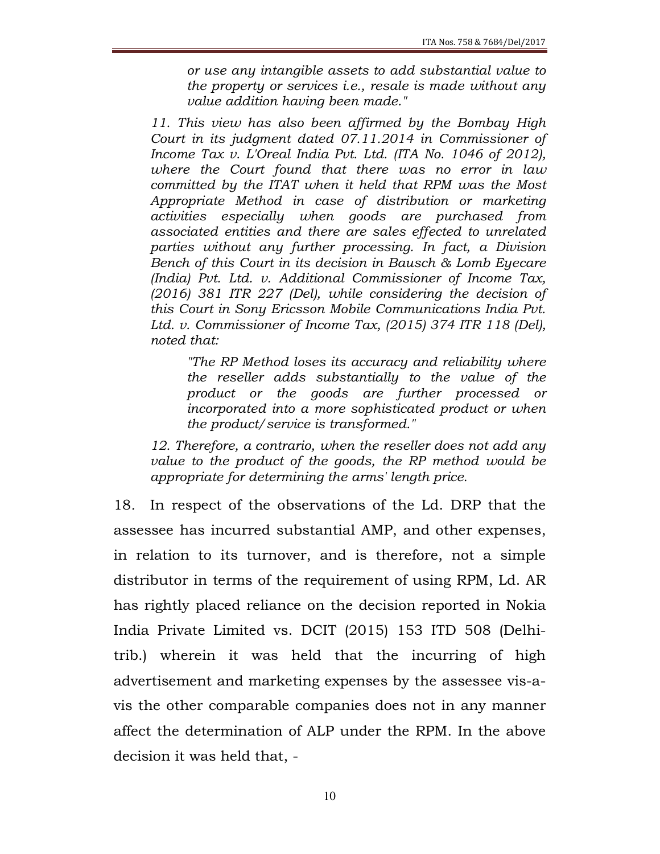or use any intangible assets to add substantial value to the property or services i.e., resale is made without any value addition having been made."

11. This view has also been affirmed by the Bombay High Court in its judgment dated 07.11.2014 in Commissioner of Income Tax v. L'Oreal India Pvt. Ltd. (ITA No. 1046 of 2012), where the Court found that there was no error in law committed by the ITAT when it held that RPM was the Most Appropriate Method in case of distribution or marketing activities especially when goods are purchased from associated entities and there are sales effected to unrelated parties without any further processing. In fact, a Division Bench of this Court in its decision in Bausch & Lomb Eyecare (India) Pvt. Ltd. v. Additional Commissioner of Income Tax, (2016) 381 ITR 227 (Del), while considering the decision of this Court in Sony Ericsson Mobile Communications India Pvt. Ltd. v. Commissioner of Income Tax, (2015) 374 ITR 118 (Del), noted that:

"The RP Method loses its accuracy and reliability where the reseller adds substantially to the value of the product or the goods are further processed or incorporated into a more sophisticated product or when the product/service is transformed."

12. Therefore, a contrario, when the reseller does not add any value to the product of the goods, the RP method would be appropriate for determining the arms' length price.

18. In respect of the observations of the Ld. DRP that the assessee has incurred substantial AMP, and other expenses, in relation to its turnover, and is therefore, not a simple distributor in terms of the requirement of using RPM, Ld. AR has rightly placed reliance on the decision reported in Nokia India Private Limited vs. DCIT (2015) 153 ITD 508 (Delhitrib.) wherein it was held that the incurring of high advertisement and marketing expenses by the assessee vis-avis the other comparable companies does not in any manner affect the determination of ALP under the RPM. In the above decision it was held that, -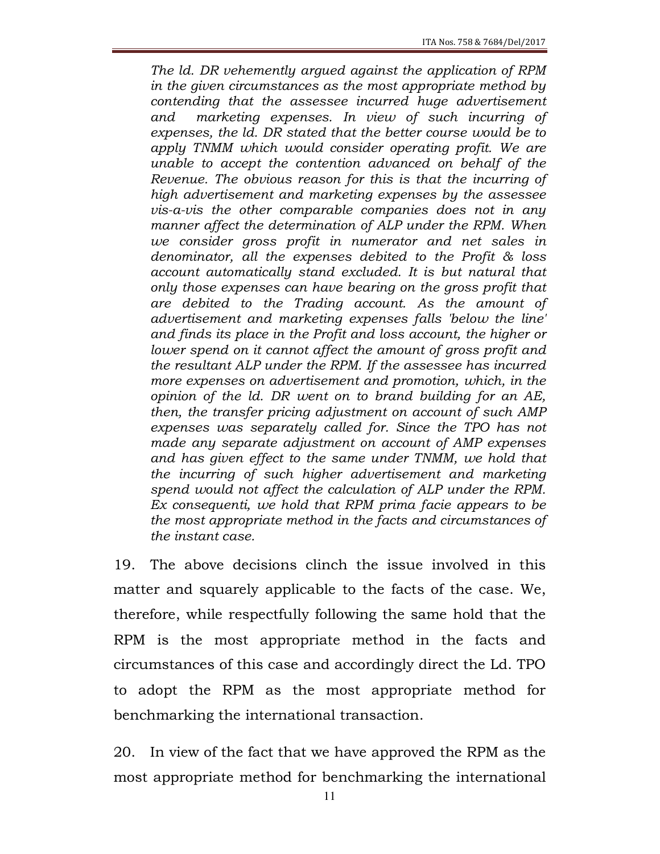The ld. DR vehemently argued against the application of RPM in the given circumstances as the most appropriate method by contending that the assessee incurred huge advertisement and marketing expenses. In view of such incurring of expenses, the ld. DR stated that the better course would be to apply TNMM which would consider operating profit. We are unable to accept the contention advanced on behalf of the Revenue. The obvious reason for this is that the incurring of high advertisement and marketing expenses by the assessee vis-a-vis the other comparable companies does not in any manner affect the determination of ALP under the RPM. When we consider gross profit in numerator and net sales in denominator, all the expenses debited to the Profit & loss account automatically stand excluded. It is but natural that only those expenses can have bearing on the gross profit that are debited to the Trading account. As the amount of advertisement and marketing expenses falls 'below the line' and finds its place in the Profit and loss account, the higher or lower spend on it cannot affect the amount of gross profit and the resultant ALP under the RPM. If the assessee has incurred more expenses on advertisement and promotion, which, in the opinion of the ld. DR went on to brand building for an AE, then, the transfer pricing adjustment on account of such AMP expenses was separately called for. Since the TPO has not made any separate adjustment on account of AMP expenses and has given effect to the same under TNMM, we hold that the incurring of such higher advertisement and marketing spend would not affect the calculation of ALP under the RPM. Ex consequenti, we hold that RPM prima facie appears to be the most appropriate method in the facts and circumstances of the instant case.

19. The above decisions clinch the issue involved in this matter and squarely applicable to the facts of the case. We, therefore, while respectfully following the same hold that the RPM is the most appropriate method in the facts and circumstances of this case and accordingly direct the Ld. TPO to adopt the RPM as the most appropriate method for benchmarking the international transaction.

20. In view of the fact that we have approved the RPM as the most appropriate method for benchmarking the international